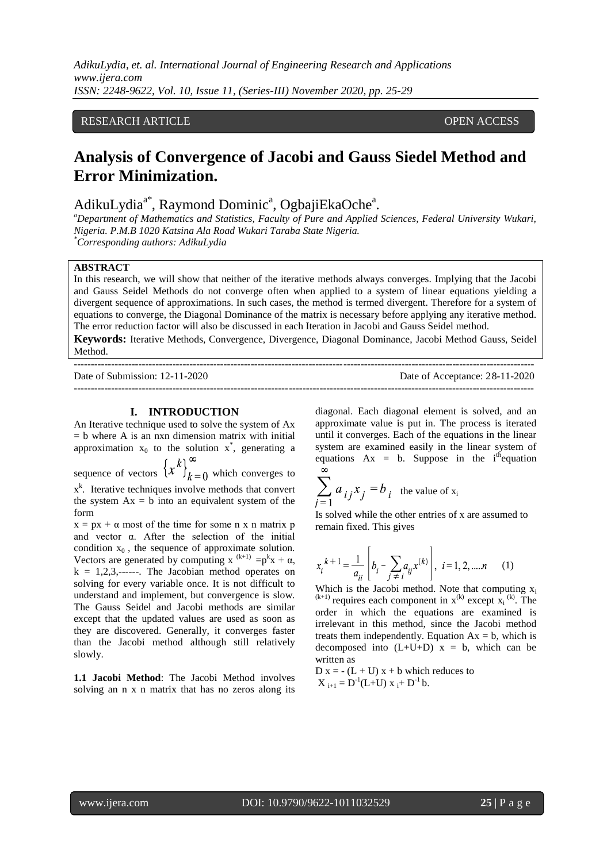*AdikuLydia, et. al. International Journal of Engineering Research and Applications www.ijera.com ISSN: 2248-9622, Vol. 10, Issue 11, (Series-III) November 2020, pp. 25-29*

## RESEARCH ARTICLE **CONSERVERS** OPEN ACCESS

# **Analysis of Convergence of Jacobi and Gauss Siedel Method and Error Minimization.**

AdikuLydia<sup>a\*</sup>, Raymond Dominic<sup>a</sup>, OgbajiEkaOche<sup>a</sup>.

*<sup>a</sup>Department of Mathematics and Statistics, Faculty of Pure and Applied Sciences, Federal University Wukari, Nigeria. P.M.B 1020 Katsina Ala Road Wukari Taraba State Nigeria. \*Corresponding authors: AdikuLydia*

#### **ABSTRACT**

In this research, we will show that neither of the iterative methods always converges. Implying that the Jacobi and Gauss Seidel Methods do not converge often when applied to a system of linear equations yielding a divergent sequence of approximations. In such cases, the method is termed divergent. Therefore for a system of equations to converge, the Diagonal Dominance of the matrix is necessary before applying any iterative method. The error reduction factor will also be discussed in each Iteration in Jacobi and Gauss Seidel method.

**Keywords:** Iterative Methods, Convergence, Divergence, Diagonal Dominance, Jacobi Method Gauss, Seidel Method.

| Date of Submission: $12-11-2020$ | Date of Acceptance: 28-11-2020 |
|----------------------------------|--------------------------------|
|                                  |                                |

#### **I. INTRODUCTION**

An Iterative technique used to solve the system of Ax  $=$  b where A is an nxn dimension matrix with initial approximation  $x_0$  to the solution  $x^*$ , generating a sequence of vectors  $\left\{x^k\right\}_{k=0}^{\infty}$  which converges to  $x<sup>k</sup>$ . Iterative techniques involve methods that convert the system  $Ax = b$  into an equivalent system of the form

 $x = px + \alpha$  most of the time for some n x n matrix p and vector α. After the selection of the initial condition  $x_0$ , the sequence of approximate solution. Vectors are generated by computing x  $^{(k+1)} = p^{k}x + \alpha$ ,  $k = 1, 2, 3, \dots$ . The Jacobian method operates on solving for every variable once. It is not difficult to understand and implement, but convergence is slow. The Gauss Seidel and Jacobi methods are similar except that the updated values are used as soon as they are discovered. Generally, it converges faster than the Jacobi method although still relatively slowly.

**1.1 Jacobi Method**: The Jacobi Method involves solving an n x n matrix that has no zeros along its

diagonal. Each diagonal element is solved, and an approximate value is put in. The process is iterated until it converges. Each of the equations in the linear system are examined easily in the linear system of equations  $Ax = b$ . Suppose in the i<sup>th</sup> equation  $\infty$ 

$$
\sum_{j=1} a_{ij} x_j = b_{i}
$$
 the value of  $x_i$ 

Is solved while the other entries of x are assumed to remain fixed. This gives

$$
x_i^{k+1} = \frac{1}{a_{ii}} \left[ b_i - \sum_{j \neq i} a_{ij} x^{(k)} \right], \ i = 1, 2, \dots n \quad (1)
$$

Which is the Jacobi method. Note that computing  $x_i$  $(k+1)$  requires each component in  $x^{(k)}$  except  $x_i^{(k)}$ . The order in which the equations are examined is irrelevant in this method, since the Jacobi method treats them independently. Equation  $Ax = b$ , which is decomposed into  $(L+U+D)$  x = b, which can be written as

 $D x = -(L + U) x + b$  which reduces to  $X_{i+1} = D^{-1}(L+U) x_i + D^{-1} b.$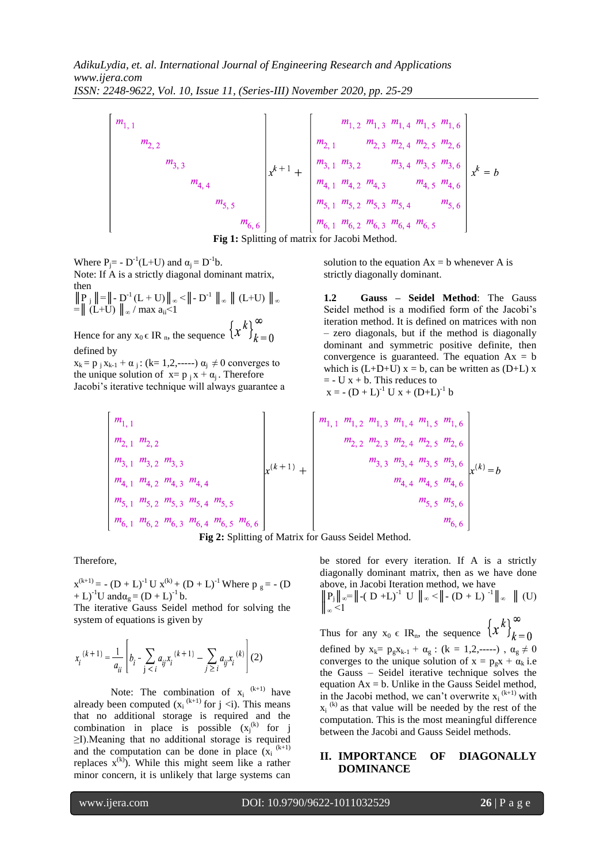**Fig 1:** Splitting of matrix for Jacobi Method.<br> **Fig 1:** Splitting of matrix for Jacobi Method.<br> **Fig 1:** Splitting of matrix for Jacobi Method.

Where  $P_j = -D^{-1}(L+U)$  and  $\alpha_j = D^{-1}b$ . Note: If A is a strictly diagonal dominant matrix, then  $\|P_j\| = \|-D^{-1}(L+U)\|_{\infty} < \|-D^{-1}\|_{\infty} \|(L+U)\|_{\infty}$  $=$  (L+U)  $\|_{\infty}$  / max a<sub>ii</sub> <1 Hence for any  $x_0 \in \text{IR}_n$ , the sequence  $\left\{x^k\right\}_{k=0}^\infty$ 

#### defined by

 $x_k = p_i x_{k-1} + \alpha_i$ : (k= 1,2,-----)  $\alpha_i \neq 0$  converges to the unique solution of  $x = p_i x + a_i$ . Therefore Jacobi's iterative technique will always guarantee a solution to the equation  $Ax = b$  whenever A is strictly diagonally dominant.

**1.2 Gauss – Seidel Method**: The Gauss Seidel method is a modified form of the Jacobi's iteration method. It is defined on matrices with non – zero diagonals, but if the method is diagonally dominant and symmetric positive definite, then convergence is guaranteed. The equation  $Ax = b$ which is  $(L+D+U)$  x = b, can be written as  $(D+L)$  x  $= -U x + b$ . This reduces to  $x = - (D + L)^{-1} U x + (D + L)^{-1} b$ 

$$
\begin{bmatrix}\nm_{1,1} & & & & & & \\
m_{2,1} & m_{2,2} & & & & \\
m_{3,1} & m_{3,2} & m_{3,3} & & \\
m_{4,1} & m_{4,2} & m_{4,3} & m_{4,4} & \\
m_{5,1} & m_{5,2} & m_{5,3} & m_{5,4} & m_{5,5} & \\
m_{6,1} & m_{6,2} & m_{6,3} & m_{6,4} & m_{6,5} & m_{6,6}\n\end{bmatrix}\n\begin{bmatrix}\nm_{1,1} & m_{1,2} & m_{1,3} & m_{1,4} & m_{1,5} & m_{1,6} \\
m_{2,2} & m_{2,3} & m_{2,4} & m_{2,5} & m_{2,6} \\
m_{3,3} & m_{3,4} & m_{3,5} & m_{3,6} \\
m_{4,4} & m_{4,5} & m_{4,6} & \\
m_{5,5} & m_{5,6} & \\
m_{6,6}\n\end{bmatrix}\n\begin{bmatrix}\nm_{1,1} & m_{1,2} & m_{1,3} & m_{1,4} & m_{1,5} & m_{1,6} \\
m_{2,2} & m_{2,3} & m_{2,4} & m_{2,5} & m_{2,6} \\
m_{3,3} & m_{3,4} & m_{3,5} & m_{3,6} \\
m_{4,4} & m_{4,5} & m_{4,6} & \\
m_{5,5} & m_{5,6} & \\
m_{6,6}\n\end{bmatrix}
$$



Therefore,

 $x^{(k+1)} = -(D + L)^{-1} U x^{(k)} + (D + L)^{-1}$  Where  $p_g = -(D + L)^{-1} U$ + L)<sup>-1</sup>U and $\alpha_g = (D + L)^{-1} b$ .

The iterative Gauss Seidel method for solving the system of equations is given by

$$
x_i^{(k+1)} = \frac{1}{a_{ii}} \left[ b_i - \sum_{j < i} a_{ij} x_i^{(k+1)} - \sum_{j \ge i} a_{ij} x_i^{(k)} \right] (2)
$$

Note: The combination of  $x_i^{(k+1)}$  have already been computed  $(x_i^{(k+1)}$  for j <i). This means that no additional storage is required and the combination in place is possible  $(x_j^{(k)}$  for j ≥I).Meaning that no additional storage is required and the computation can be done in place  $(x_i^{(k+1)})$ replaces  $x^{(k)}$ . While this might seem like a rather minor concern, it is unlikely that large systems can

be stored for every iteration. If A is a strictly diagonally dominant matrix, then as we have done above, in Jacobi Iteration method, we have

$$
\left\| \frac{P_j}{\infty} \right\| \propto = \left\| -(D + L)^{-1} \right\| \left\| \left\| \infty \right\| \right\| + (D + L)^{-1} \left\| \infty \right\| \left( \text{U} \right)
$$

Thus for any  $x_0 \in IR_n$ , the sequence  $\left\{x^k\right\}_{k=0}^{\infty}$ defined by  $x_k = p_g x_{k-1} + \alpha_g$ :  $(k = 1, 2, ---)$ ,  $\alpha_g \neq 0$ converges to the unique solution of  $x = p_g x + \alpha_k i.e$ the Gauss – Seidel iterative technique solves the equation Ax = b. Unlike in the Gauss Seidel method, in the Jacobi method, we can't overwrite  $x_i^{(k+1)}$  with  $x_i$ <sup>(k)</sup> as that value will be needed by the rest of the computation. This is the most meaningful difference between the Jacobi and Gauss Seidel methods.

### **II. IMPORTANCE OF DIAGONALLY DOMINANCE**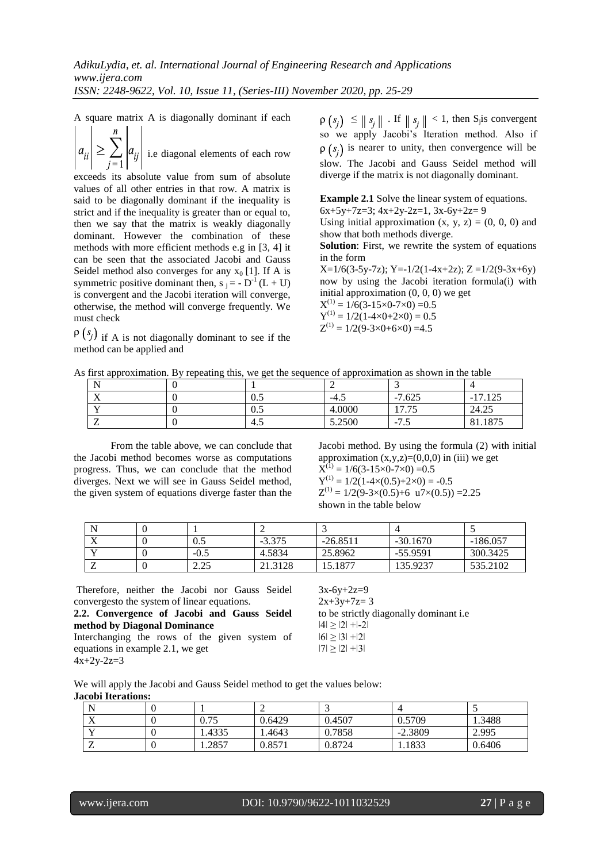A square matrix A is diagonally dominant if each

 $|a_{ii}| \geq \sum$ i.e diagonal elements of each row

exceeds its absolute value from sum of absolute values of all other entries in that row. A matrix is said to be diagonally dominant if the inequality is strict and if the inequality is greater than or equal to, then we say that the matrix is weakly diagonally dominant. However the combination of these methods with more efficient methods e.g in [3, 4] it can be seen that the associated Jacobi and Gauss Seidel method also converges for any  $x_0$  [1]. If A is symmetric positive dominant then,  $s_j = -D^{-1}(L+U)$ is convergent and the Jacobi iteration will converge, otherwise, the method will converge frequently. We must check

 $\varphi\left(s_{j}\right)$  if A is not diagonally dominant to see if the method can be applied and

 $\leq ||s_i||$ . If  $||s_i|| < 1$ , then S<sub>j</sub> is convergent so we apply Jacobi's Iteration method. Also if  $\rho(s_i)$  is nearer to unity, then convergence will be slow. The Jacobi and Gauss Seidel method will diverge if the matrix is not diagonally dominant.

**Example 2.1** Solve the linear system of equations.  $6x+5y+7z=3$ ;  $4x+2y-2z=1$ ,  $3x-6y+2z=9$ 

Using initial approximation  $(x, y, z) = (0, 0, 0)$  and show that both methods diverge.

**Solution**: First, we rewrite the system of equations in the form

 $X=1/6(3-5y-7z)$ ; Y=-1/2(1-4x+2z); Z =1/2(9-3x+6y) now by using the Jacobi iteration formula(i) with initial approximation (0, 0, 0) we get

 $X^{(1)} = 1/6(3-15\times0-7\times0) = 0.5$  $Y^{(1)} = 1/2(1-4 \times 0+2 \times 0) = 0.5$  $Z^{(1)} = 1/2(9-3\times0+6\times0) = 4.5$ 

| As first approximation. By repeating this, we get the sequence of approximation as shown in the table |  |  |  |  |
|-------------------------------------------------------------------------------------------------------|--|--|--|--|
|                                                                                                       |  |  |  |  |
|                                                                                                       |  |  |  |  |
|                                                                                                       |  |  |  |  |

| v v<br>$\lambda$ | U.J | $-4.$  | $\overline{ }$<br>625<br>7.625<br>$\sim$ | 10 <sub>F</sub><br>$\overline{\phantom{a}}$<br>$\sim$<br>ر⊿⊥ ⊥ |
|------------------|-----|--------|------------------------------------------|----------------------------------------------------------------|
| $\mathbf{v}$     | v.J | 4.0000 | $\tau$<br>$\overline{ }$<br>11.IJ        | $\cap \subset$<br>24.25                                        |
|                  | 4.5 | 5.2500 | –<br>$\sim$ $\sqrt{2}$<br>ر. ا           | 075<br>01.107                                                  |

From the table above, we can conclude that the Jacobi method becomes worse as computations progress. Thus, we can conclude that the method diverges. Next we will see in Gauss Seidel method, the given system of equations diverge faster than the Jacobi method. By using the formula (2) with initial approximation  $(x,y,z)=(0,0,0)$  in (iii) we get  $\bar{X}^{(1)} = 1/6(3-15\times0-7\times0) = 0.5$  $Y^{(1)} = 1/2(1-4\times(0.5)+2\times0) = -0.5$  $Z^{(1)} = 1/2(9-3\times(0.5)+6 \text{ u}7\times(0.5)) = 2.25$ shown in the table below

| v v<br>ZX. | U.J                 | $-3.375$ | $-26.8511$ | $-30.1670$ | $-186.057$ |
|------------|---------------------|----------|------------|------------|------------|
| - -        | $-0.5$              | 4.5834   | 25.8962    | $-55.9591$ | 300.3425   |
| ,,         | $\Omega$<br>ل کے وک | 21.3128  | 15.1877    | 135.9237   | 535.2102   |

Therefore, neither the Jacobi nor Gauss Seidel convergesto the system of linear equations.

**2.2. Convergence of Jacobi and Gauss Seidel method by Diagonal Dominance**  Interchanging the rows of the given system of

equations in example 2.1, we get  $4x+2y-2z=3$ 

 $3x-6y+2z=9$  $2x+3y+7z=3$ to be strictly diagonally dominant i.e  $|4| \ge |2| + |-2|$  $|6| \ge |3| + |2|$  $|7| \ge |2| + |3|$ 

We will apply the Jacobi and Gauss Seidel method to get the values below: **Jacobi Iterations:**

| N<br>**                   |        | ∼      |        |           |        |
|---------------------------|--------|--------|--------|-----------|--------|
| $\mathbf{v}$<br>$\Lambda$ | 0.75   | 0.6429 | 0.4507 | 0.5709    | 1.3488 |
| $\mathbf{v}$              | 1.4335 | .4643  | 0.7858 | $-2.3809$ | 2.995  |
| ∸                         | 1.2857 | 0.857  | 0.8724 | 1.1833    | 0.6406 |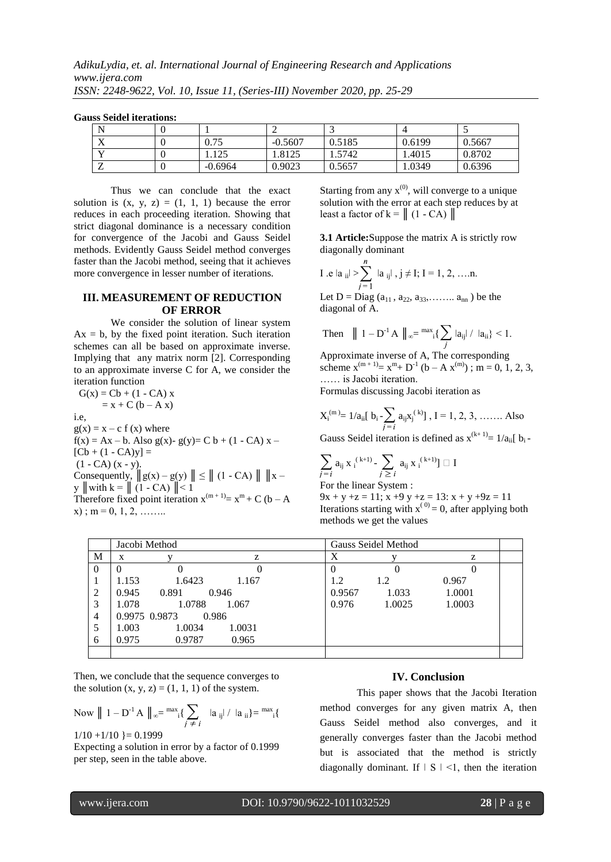| N                                    |           | ∼         |        |        |        |
|--------------------------------------|-----------|-----------|--------|--------|--------|
| $\overline{\mathbf{x}}$<br>$\Lambda$ | 0.75      | $-0.5607$ | 0.5185 | 0.6199 | 0.5667 |
| $\mathbf{v}$                         | 1.125     | .8125     | 1.5742 | 1.4015 | 0.8702 |
| $\overline{ }$                       | $-0.6964$ | 0.9023    | 0.5657 | 1.0349 | 0.6396 |

**Gauss Seidel iterations:**

Thus we can conclude that the exact solution is  $(x, y, z) = (1, 1, 1)$  because the error reduces in each proceeding iteration. Showing that strict diagonal dominance is a necessary condition for convergence of the Jacobi and Gauss Seidel methods. Evidently Gauss Seidel method converges faster than the Jacobi method, seeing that it achieves more convergence in lesser number of iterations.

#### **III. MEASUREMENT OF REDUCTION OF ERROR**

We consider the solution of linear system  $Ax = b$ , by the fixed point iteration. Such iteration schemes can all be based on approximate inverse. Implying that any matrix norm [2]. Corresponding to an approximate inverse C for A, we consider the iteration function

 $G(x) = Cb + (1 - CA)x$  $=$  x + C (b – A x) i.e,  $g(x) = x - c f(x)$  where  $f(x) = Ax - b$ . Also  $g(x)$ -  $g(y) = C b + (1 - CA) x [Cb + (1 - CA)y] =$  $(1 - CA)(x - y)$ . Consequently,  $||g(x) - g(y)|| \le ||(1 - CA)|| ||x - y||$ y  $\|\text{with } k = \| (1 - CA) \| < 1$ Therefore fixed point iteration  $x^{(m+1)} = x^m + C$  (b – A  $(x)$ ; m = 0, 1, 2, ...

Starting from any  $x^{(0)}$ , will converge to a unique solution with the error at each step reduces by at least a factor of  $k = || (1 - CA) ||$ 

**3.1 Article:**Suppose the matrix A is strictly row diagonally dominant

I.e 
$$
|a_{ij}| > \sum_{j=1}^{n} |a_{ij}|
$$
,  $j \neq I$ ; I = 1, 2, ....n.  
Let D = Diag  $(a_{11}, a_{22}, a_{33}, \dots, a_{nn})$  be the

diagonal of A.

Then 
$$
||1 - D^{-1}A||_{\infty} = \max_{i} \{ \sum_{j} |a_{ij}| / |a_{ii}\} \le 1.
$$

Approximate inverse of A, The corresponding scheme  $x^{(m+1)} = x^m + D^{-1}$  (b – A  $x^{(m)}$ ); m = 0, 1, 2, 3, …… is Jacobi iteration.

Formulas discussing Jacobi iteration as

$$
X_i^{(m)} = 1/a_{ii}[b_i - \sum_{j=i} a_{ij}x_j^{(k)}], I = 1, 2, 3, ....... Also
$$

Gauss Seidel iteration is defined as  $x^{(k+1)} = 1/a_{ii}$ [ b<sub>i</sub>-

$$
\sum_{j=i} a_{ij} x_i^{(k+1)} - \sum_{j\geq i} a_{ij} x_i^{(k+1)} \rbrack \square I
$$

For the linear System :

 $9x + y + z = 11$ ;  $x + 9y + z = 13$ :  $x + y + 9z = 11$ Iterations starting with  $x^{(0)} = 0$ , after applying both methods we get the values

|          | Jacobi Method   |                 | Gauss Seidel Method |        |        |  |
|----------|-----------------|-----------------|---------------------|--------|--------|--|
| М        | X               | z               | X                   |        | z      |  |
| $\Omega$ | 0               |                 | 0                   |        |        |  |
|          | 1.153<br>1.6423 | 1.167           | 1.2                 | 1.2    | 0.967  |  |
| 2        | 0.945<br>0.891  | 0.946           | 0.9567              | 1.033  | 1.0001 |  |
| 3        | 1.078           | 1.0788<br>1.067 | 0.976               | 1.0025 | 1.0003 |  |
| 4        | 0.9975 0.9873   | 0.986           |                     |        |        |  |
|          | 1.0034<br>1.003 | 1.0031          |                     |        |        |  |
| 6        | 0.975<br>0.9787 | 0.965           |                     |        |        |  |
|          |                 |                 |                     |        |        |  |

Then, we conclude that the sequence converges to the solution  $(x, y, z) = (1, 1, 1)$  of the system.

Now 
$$
|| 1 - D^{-1} A ||_{\infty} = \frac{\max_i}{\sum_{j \neq i} |a_{ij}| / |a_{ii}|} = \frac{\max_i}{\sum_{i=1}^{\max_i} |a_{ii}|}
$$

 $1/10 + 1/10 = 0.1999$ Expecting a solution in error by a factor of 0.1999 per step, seen in the table above.

# **IV. Conclusion**

This paper shows that the Jacobi Iteration method converges for any given matrix A, then Gauss Seidel method also converges, and it generally converges faster than the Jacobi method but is associated that the method is strictly diagonally dominant. If  $\vert S \vert \leq 1$ , then the iteration